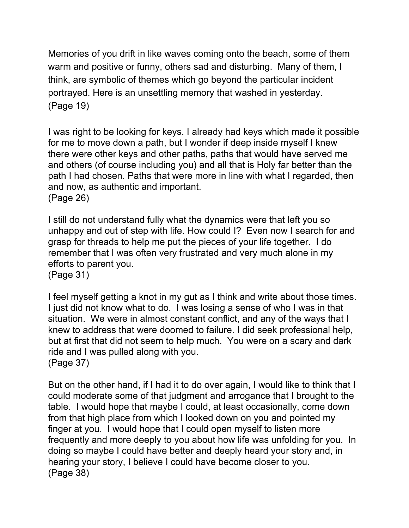Memories of you drift in like waves coming onto the beach, some of them warm and positive or funny, others sad and disturbing. Many of them, I think, are symbolic of themes which go beyond the particular incident portrayed. Here is an unsettling memory that washed in yesterday. (Page 19)

I was right to be looking for keys. I already had keys which made it possible for me to move down a path, but I wonder if deep inside myself I knew there were other keys and other paths, paths that would have served me and others (of course including you) and all that is Holy far better than the path I had chosen. Paths that were more in line with what I regarded, then and now, as authentic and important. (Page 26)

I still do not understand fully what the dynamics were that left you so unhappy and out of step with life. How could I? Even now I search for and grasp for threads to help me put the pieces of your life together. I do remember that I was often very frustrated and very much alone in my efforts to parent you. (Page 31)

I feel myself getting a knot in my gut as I think and write about those times. I just did not know what to do. I was losing a sense of who I was in that situation. We were in almost constant conflict, and any of the ways that I knew to address that were doomed to failure. I did seek professional help, but at first that did not seem to help much. You were on a scary and dark ride and I was pulled along with you. (Page 37)

But on the other hand, if I had it to do over again, I would like to think that I could moderate some of that judgment and arrogance that I brought to the table. I would hope that maybe I could, at least occasionally, come down from that high place from which I looked down on you and pointed my finger at you. I would hope that I could open myself to listen more frequently and more deeply to you about how life was unfolding for you. In doing so maybe I could have better and deeply heard your story and, in hearing your story, I believe I could have become closer to you. (Page 38)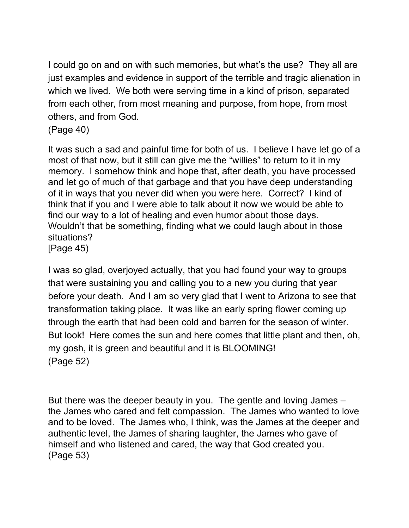I could go on and on with such memories, but what's the use? They all are just examples and evidence in support of the terrible and tragic alienation in which we lived. We both were serving time in a kind of prison, separated from each other, from most meaning and purpose, from hope, from most others, and from God.

(Page 40)

It was such a sad and painful time for both of us. I believe I have let go of a most of that now, but it still can give me the "willies" to return to it in my memory. I somehow think and hope that, after death, you have processed and let go of much of that garbage and that you have deep understanding of it in ways that you never did when you were here. Correct? I kind of think that if you and I were able to talk about it now we would be able to find our way to a lot of healing and even humor about those days. Wouldn't that be something, finding what we could laugh about in those situations? [Page 45)

I was so glad, overjoyed actually, that you had found your way to groups that were sustaining you and calling you to a new you during that year before your death. And I am so very glad that I went to Arizona to see that transformation taking place. It was like an early spring flower coming up through the earth that had been cold and barren for the season of winter. But look! Here comes the sun and here comes that little plant and then, oh, my gosh, it is green and beautiful and it is BLOOMING! (Page 52)

But there was the deeper beauty in you. The gentle and loving James – the James who cared and felt compassion. The James who wanted to love and to be loved. The James who, I think, was the James at the deeper and authentic level, the James of sharing laughter, the James who gave of himself and who listened and cared, the way that God created you. (Page 53)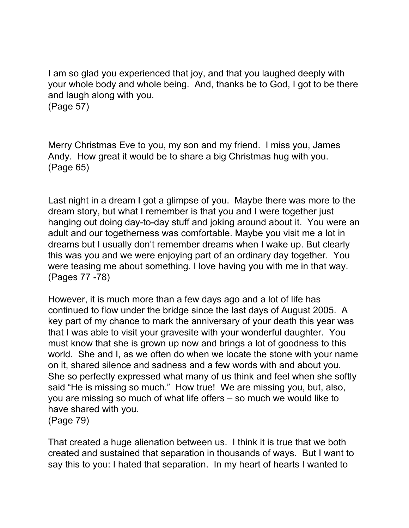I am so glad you experienced that joy, and that you laughed deeply with your whole body and whole being. And, thanks be to God, I got to be there and laugh along with you.

(Page 57)

Merry Christmas Eve to you, my son and my friend. I miss you, James Andy. How great it would be to share a big Christmas hug with you. (Page 65)

Last night in a dream I got a glimpse of you. Maybe there was more to the dream story, but what I remember is that you and I were together just hanging out doing day-to-day stuff and joking around about it. You were an adult and our togetherness was comfortable. Maybe you visit me a lot in dreams but I usually don't remember dreams when I wake up. But clearly this was you and we were enjoying part of an ordinary day together. You were teasing me about something. I love having you with me in that way. (Pages 77 -78)

However, it is much more than a few days ago and a lot of life has continued to flow under the bridge since the last days of August 2005. A key part of my chance to mark the anniversary of your death this year was that I was able to visit your gravesite with your wonderful daughter. You must know that she is grown up now and brings a lot of goodness to this world. She and I, as we often do when we locate the stone with your name on it, shared silence and sadness and a few words with and about you. She so perfectly expressed what many of us think and feel when she softly said "He is missing so much." How true! We are missing you, but, also, you are missing so much of what life offers – so much we would like to have shared with you. (Page 79)

That created a huge alienation between us. I think it is true that we both created and sustained that separation in thousands of ways. But I want to say this to you: I hated that separation. In my heart of hearts I wanted to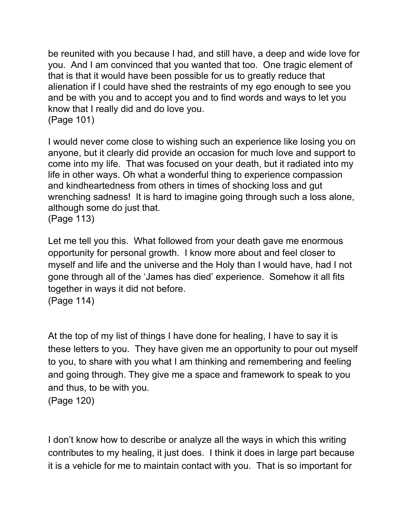be reunited with you because I had, and still have, a deep and wide love for you. And I am convinced that you wanted that too. One tragic element of that is that it would have been possible for us to greatly reduce that alienation if I could have shed the restraints of my ego enough to see you and be with you and to accept you and to find words and ways to let you know that I really did and do love you. (Page 101)

I would never come close to wishing such an experience like losing you on anyone, but it clearly did provide an occasion for much love and support to come into my life. That was focused on your death, but it radiated into my life in other ways. Oh what a wonderful thing to experience compassion and kindheartedness from others in times of shocking loss and gut wrenching sadness! It is hard to imagine going through such a loss alone, although some do just that. (Page 113)

Let me tell you this. What followed from your death gave me enormous opportunity for personal growth. I know more about and feel closer to myself and life and the universe and the Holy than I would have, had I not gone through all of the 'James has died' experience. Somehow it all fits together in ways it did not before.

(Page 114)

At the top of my list of things I have done for healing, I have to say it is these letters to you. They have given me an opportunity to pour out myself to you, to share with you what I am thinking and remembering and feeling and going through. They give me a space and framework to speak to you and thus, to be with you. (Page 120)

I don't know how to describe or analyze all the ways in which this writing contributes to my healing, it just does. I think it does in large part because it is a vehicle for me to maintain contact with you. That is so important for